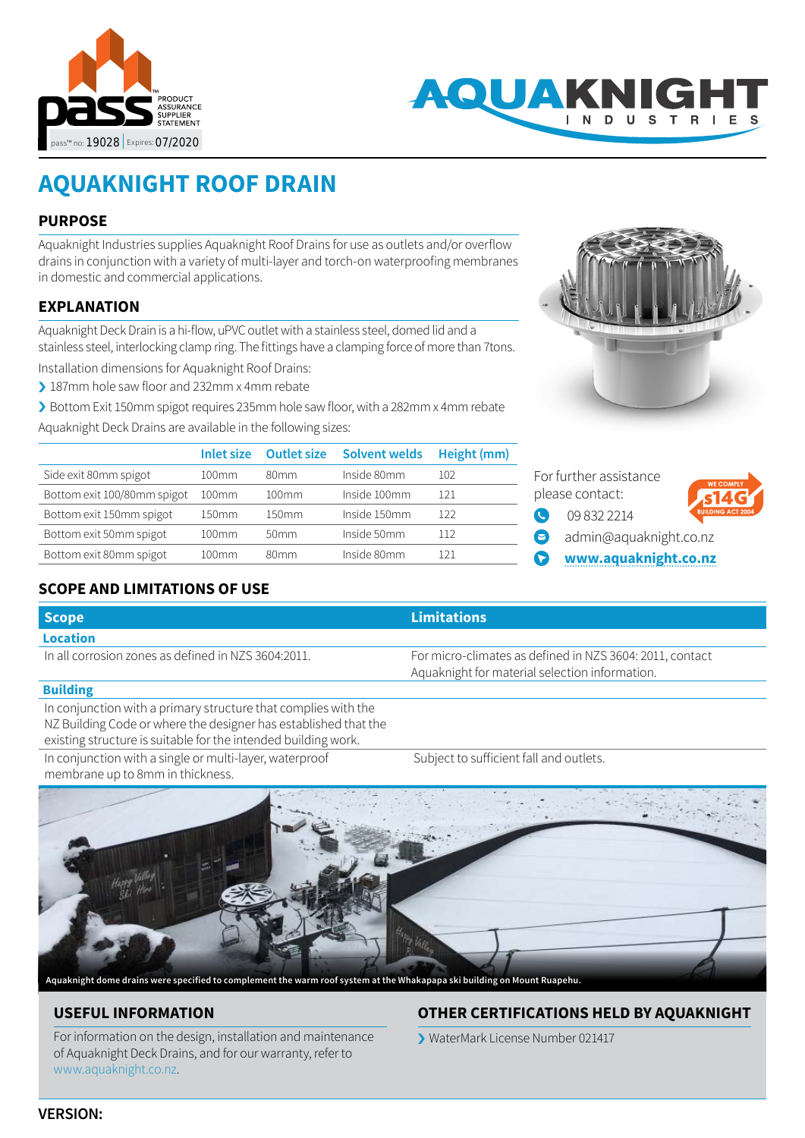



# **AQUAKNIGHT ROOF DRAIN**

## **PURPOSE**

Aquaknight Industries supplies Aquaknight Roof Drains for use as outlets and/or overflow drains in conjunction with a variety of multi-layer and torch-on waterproofing membranes in domestic and commercial applications.

## **EXPLANATION**

Aquaknight Deck Drain is a hi-flow, uPVC outlet with a stainless steel, domed lid and a stainless steel, interlocking clamp ring. The fittings have a clamping force of more than 7tons.

Installation dimensions for Aquaknight Roof Drains:

- › 187mm hole saw floor and 232mm x 4mm rebate
- › Bottom Exit 150mm spigot requires 235mm hole saw floor, with a 282mm x 4mm rebate

Aquaknight Deck Drains are available in the following sizes:

|                             | Inlet size | <b>Outlet size</b> | Solvent welds | Height (mm) |
|-----------------------------|------------|--------------------|---------------|-------------|
| Side exit 80mm spigot       | 100mm      | 80 <sub>mm</sub>   | Inside 80mm   | 102         |
| Bottom exit 100/80mm spigot | 100mm      | 100mm              | Inside 100mm  | 121         |
| Bottom exit 150mm spigot    | 150mm      | 150mm              | Inside 150mm  | 122         |
| Bottom exit 50mm spigot     | 100mm      | 50 <sub>mm</sub>   | Inside 50mm   | 112         |
| Bottom exit 80mm spigot     | 100mm      | 80 <sub>mm</sub>   | Inside 80mm   | 121         |
|                             |            |                    |               |             |



- 
- **[www.aquaknight.co.nz](http://www.aquaknight.co.nz)**

# **SCOPE AND LIMITATIONS OF USE**

| <b>Scope</b>                                        | <b>Limitations</b>                                                                                         |
|-----------------------------------------------------|------------------------------------------------------------------------------------------------------------|
| Location                                            |                                                                                                            |
| In all corrosion zones as defined in NZS 3604:2011. | For micro-climates as defined in NZS 3604: 2011, contact<br>Aquaknight for material selection information. |

#### **Building**

In conjunction with a primary structure that complies with the NZ Building Code or where the designer has established that the existing structure is suitable for the intended building work.

In conjunction with a single or multi-layer, waterproof membrane up to 8mm in thickness.

Subject to sufficient fall and outlets.



**Aquaknight dome drains were specified to complement the warm roof system at the Whakapapa ski building on Mount Ruapehu.**

# **USEFUL INFORMATION**

For information on the design, installation and maintenance of Aquaknight Deck Drains, and for our warranty, refer to [www.aquaknight.co.nz.](http://www.aquaknight.co.nz)

# **OTHER CERTIFICATIONS HELD BY AQUAKNIGHT**

› WaterMark License Number 021417